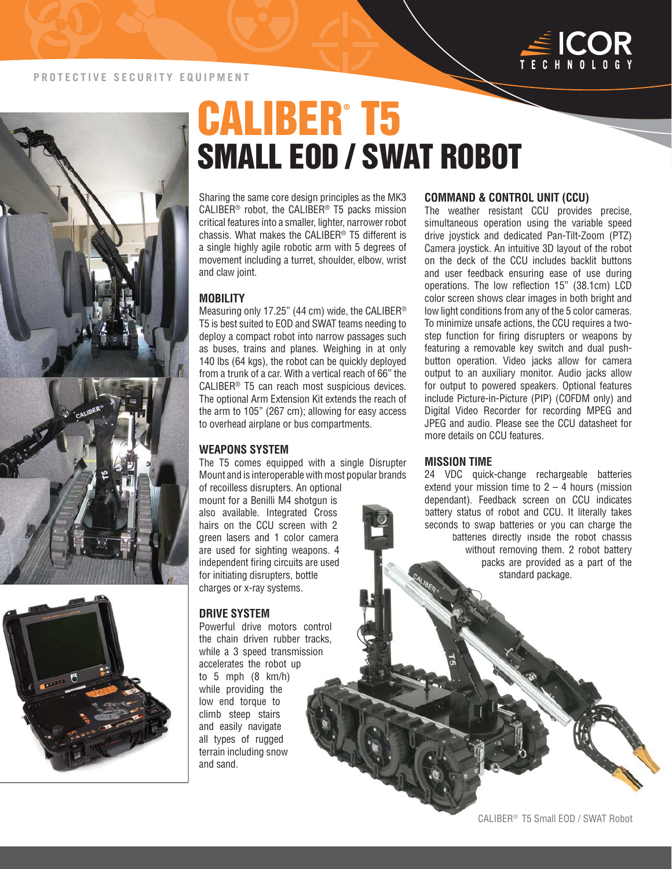





# CALIBER® T5 SMALL EOD / SWAT ROBOT

Sharing the same core design principles as the MK3 CALIBER® robot, the CALIBER® T5 packs mission critical features into a smaller, lighter, narrower robot chassis. What makes the CALIBER® T5 different is a single highly agile robotic arm with 5 degrees of movement including a turret, shoulder, elbow, wrist and claw joint.

#### **MOBILITY**

Measuring only 17.25" (44 cm) wide, the CALIBER® T5 is best suited to EOD and SWAT teams needing to deploy a compact robot into narrow passages such as buses, trains and planes. Weighing in at only 140 lbs (64 kgs), the robot can be quickly deployed from a trunk of a car. With a vertical reach of 66" the CALIBER® T5 can reach most suspicious devices. The optional Arm Extension Kit extends the reach of the arm to 105" (267 cm); allowing for easy access to overhead airplane or bus compartments.

#### **WEAPONS SYSTEM**

The T5 comes equipped with a single Disrupter Mount and is interoperable with most popular brands of recoilless disrupters. An optional

mount for a Benilli M4 shotgun is mount for a Benilli M4 shotgun is<br>also available. Integrated Cross hairs on the CCU screen with 2 green lasers and 1 color camera are used for sighting weapons. 4 independent firing circuits are used for initiating disrupters, bottle charges or x-ray systems. or camer<br>eapons.<br>s are use<br>oottle.<br>is.<br>control<br>r tracks,<br>ission

#### **DRIVE SYSTEM**

Powerful drive motors control the chain driven rubber tracks, while a 3 speed transmission accelerates the robot up to 5 mph (8 km/h) while providing the low end torque to climb steep stairs and easily navigate all types of rugged terrain including snow and sand.

#### **COMMAND & CONTROL UNIT (CCU)**

The weather resistant CCU provides precise, simultaneous operation using the variable speed drive joystick and dedicated Pan-Tilt-Zoom (PTZ) Camera joystick. An intuitive 3D layout of the robot on the deck of the CCU includes backlit buttons and user feedback ensuring ease of use during operations. The low reflection 15" (38.1cm) LCD color screen shows clear images in both bright and low light conditions from any of the 5 color cameras. To minimize unsafe actions, the CCU requires a twostep function for firing disrupters or weapons by featuring a removable key switch and dual pushbutton operation. Video jacks allow for camera output to an auxiliary monitor. Audio jacks allow for output to powered speakers. Optional features include Picture-in-Picture (PIP) (COFDM only) and Digital Video Recorder for recording MPEG and JPEG and audio. Please see the CCU datasheet for more details on CCU features.

#### **MISSION TIME**

24 VDC quick-change rechargeable batteries extend your mission time to  $2 - 4$  hours (mission dependant). Feedback screen on CCU indicates indicates battery status of robot and CCU. It literally takes seconds to swap batteries or you can charge the batteries directly inside the robot chassis without removing them. 2 robot battery packs are provided as a part of the standard package.

THE RESIDENCE OF